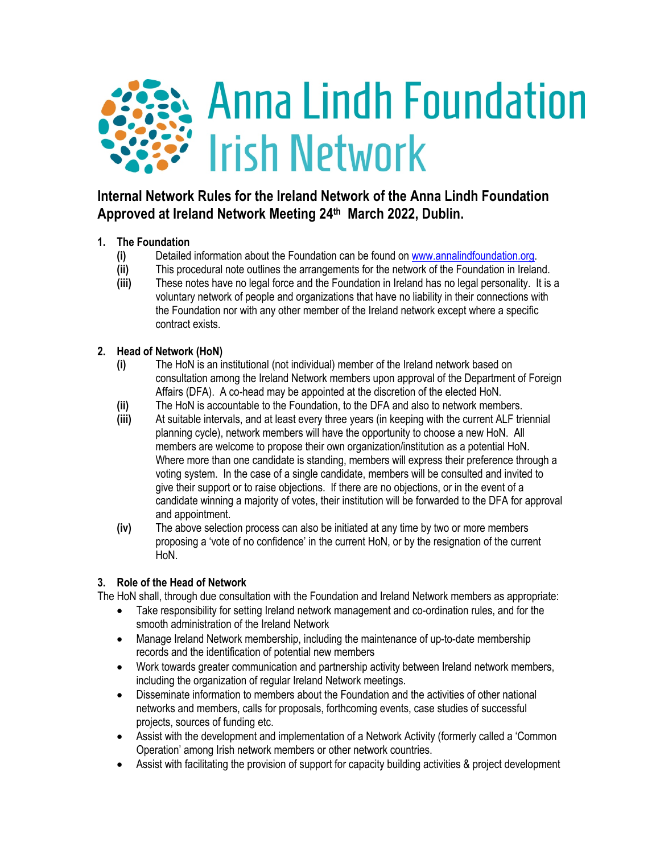

# **Internal Network Rules for the Ireland Network of the Anna Lindh Foundation Approved at Ireland Network Meeting 24th March 2022, Dublin.**

# **1. The Foundation**

- **(i)** Detailed information about the Foundation can be found on www.annalindfoundation.org.
- **(ii)** This procedural note outlines the arrangements for the network of the Foundation in Ireland.
- **(iii)** These notes have no legal force and the Foundation in Ireland has no legal personality. It is a voluntary network of people and organizations that have no liability in their connections with the Foundation nor with any other member of the Ireland network except where a specific contract exists.

# **2. Head of Network (HoN)**

- **(i)** The HoN is an institutional (not individual) member of the Ireland network based on consultation among the Ireland Network members upon approval of the Department of Foreign Affairs (DFA). A co-head may be appointed at the discretion of the elected HoN.
- **(ii)** The HoN is accountable to the Foundation, to the DFA and also to network members.
- **(iii)** At suitable intervals, and at least every three years (in keeping with the current ALF triennial planning cycle), network members will have the opportunity to choose a new HoN. All members are welcome to propose their own organization/institution as a potential HoN. Where more than one candidate is standing, members will express their preference through a voting system. In the case of a single candidate, members will be consulted and invited to give their support or to raise objections. If there are no objections, or in the event of a candidate winning a majority of votes, their institution will be forwarded to the DFA for approval and appointment.
- **(iv)** The above selection process can also be initiated at any time by two or more members proposing a 'vote of no confidence' in the current HoN, or by the resignation of the current HoN.

# **3. Role of the Head of Network**

The HoN shall, through due consultation with the Foundation and Ireland Network members as appropriate:

- Take responsibility for setting Ireland network management and co-ordination rules, and for the smooth administration of the Ireland Network
- Manage Ireland Network membership, including the maintenance of up-to-date membership records and the identification of potential new members
- Work towards greater communication and partnership activity between Ireland network members, including the organization of regular Ireland Network meetings.
- Disseminate information to members about the Foundation and the activities of other national networks and members, calls for proposals, forthcoming events, case studies of successful projects, sources of funding etc.
- Assist with the development and implementation of a Network Activity (formerly called a 'Common Operation' among Irish network members or other network countries.
- Assist with facilitating the provision of support for capacity building activities & project development